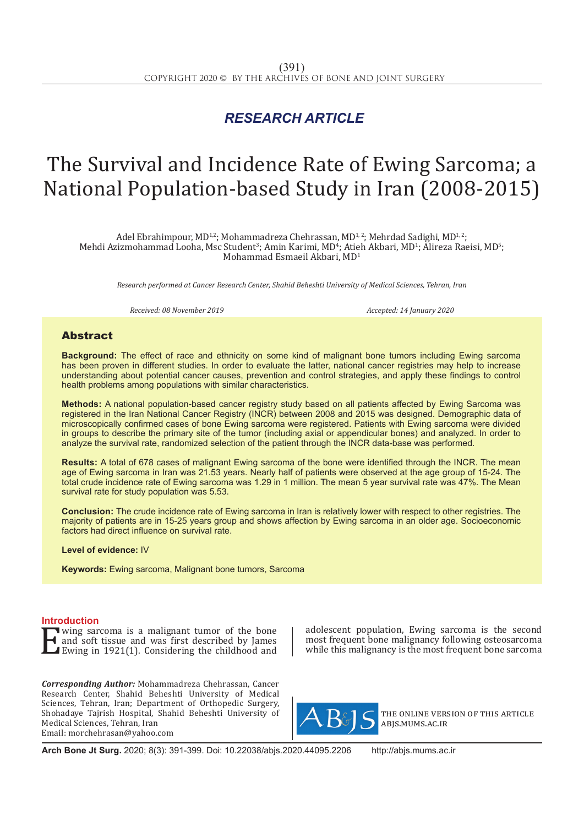## *RESEARCH ARTICLE*

# The Survival and Incidence Rate of Ewing Sarcoma; a National Population-based Study in Iran (2008-2015)

Adel Ebrahimpour, MD<sup>1,2</sup>; Mohammadreza Chehrassan, MD<sup>1,2</sup>; Mehrdad Sadighi, MD<sup>1,2</sup>; Mehdi Azizmohammad Looha, Msc Student<sup>3</sup>; Amin Karimi, MD<sup>4</sup>; Atieh Akbari, MD<sup>1</sup>; Alireza Raeisi, MD<sup>5</sup>; Mohammad Esmaeil Akbari, MD<sup>1</sup>

*Research performed at Cancer Research Center, Shahid Beheshti University of Medical Sciences, Tehran, Iran*

*Received: 08 November 2019 Accepted: 14 January 2020*

### Abstract

**Background:** The effect of race and ethnicity on some kind of malignant bone tumors including Ewing sarcoma has been proven in different studies. In order to evaluate the latter, national cancer registries may help to increase understanding about potential cancer causes, prevention and control strategies, and apply these findings to control health problems among populations with similar characteristics.

**Methods:** A national population-based cancer registry study based on all patients affected by Ewing Sarcoma was registered in the Iran National Cancer Registry (INCR) between 2008 and 2015 was designed. Demographic data of microscopically confirmed cases of bone Ewing sarcoma were registered. Patients with Ewing sarcoma were divided in groups to describe the primary site of the tumor (including axial or appendicular bones) and analyzed. In order to analyze the survival rate, randomized selection of the patient through the INCR data-base was performed.

**Results:** A total of 678 cases of malignant Ewing sarcoma of the bone were identified through the INCR. The mean age of Ewing sarcoma in Iran was 21.53 years. Nearly half of patients were observed at the age group of 15-24. The total crude incidence rate of Ewing sarcoma was 1.29 in 1 million. The mean 5 year survival rate was 47%. The Mean survival rate for study population was 5.53.

**Conclusion:** The crude incidence rate of Ewing sarcoma in Iran is relatively lower with respect to other registries. The majority of patients are in 15-25 years group and shows affection by Ewing sarcoma in an older age. Socioeconomic factors had direct influence on survival rate.

**Level of evidence:** IV

**Keywords:** Ewing sarcoma, Malignant bone tumors, Sarcoma

**Introduction**<br>**T** wing sarcoma is a malignant tumor of the bone **Example 3** a malignant tumor of the bone<br>and soft tissue and was first described by James<br>Ewing in 1921(1). Considering the childhood and and soft tissue and was first described by James Ewing in 1921(1). Considering the childhood and

*Corresponding Author:* Mohammadreza Chehrassan, Cancer Research Center, Shahid Beheshti University of Medical Sciences, Tehran, Iran; Department of Orthopedic Surgery, Shohadaye Tajrish Hospital, Shahid Beheshti University of Medical Sciences, Tehran, Iran Email: morchehrasan@yahoo.com

adolescent population, Ewing sarcoma is the second most frequent bone malignancy following osteosarcoma while this malignancy is the most frequent bone sarcoma



the online version of this article abjs.mums.ac.ir

**Arch Bone Jt Surg.** 2020; 8(3): 391-399. Doi: 10.22038/abjs.2020.44095.2206 http://abjs.mums.ac.ir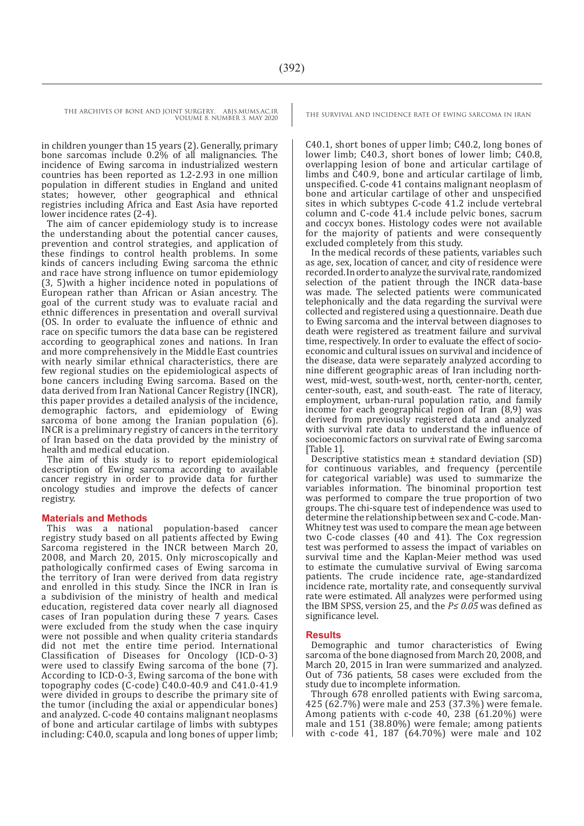VOLUME 8. NUMBER 3. MAY 2020

in children younger than 15 years (2). Generally, primary bone sarcomas include 0.2% of all malignancies. The incidence of Ewing sarcoma in industrialized western countries has been reported as 1.2-2.93 in one million population in different studies in England and united states; however, other geographical and ethnical registries including Africa and East Asia have reported lower incidence rates (2-4).

The aim of cancer epidemiology study is to increase the understanding about the potential cancer causes, prevention and control strategies, and application of these findings to control health problems. In some kinds of cancers including Ewing sarcoma the ethnic and race have strong influence on tumor epidemiology (3, 5)with a higher incidence noted in populations of European rather than African or Asian ancestry. The goal of the current study was to evaluate racial and ethnic differences in presentation and overall survival (OS. In order to evaluate the influence of ethnic and race on specific tumors the data base can be registered according to geographical zones and nations. In Iran and more comprehensively in the Middle East countries with nearly similar ethnical characteristics, there are few regional studies on the epidemiological aspects of bone cancers including Ewing sarcoma. Based on the data derived from Iran National Cancer Registry (INCR), this paper provides a detailed analysis of the incidence, demographic factors, and epidemiology of Ewing sarcoma of bone among the Iranian population (6). INCR is a preliminary registry of cancers in the territory of Iran based on the data provided by the ministry of health and medical education.

The aim of this study is to report epidemiological description of Ewing sarcoma according to available cancer registry in order to provide data for further oncology studies and improve the defects of cancer registry.

#### **Materials and Methods**

This was a national population-based cancer registry study based on all patients affected by Ewing Sarcoma registered in the INCR between March 20, 2008, and March 20, 2015. Only microscopically and pathologically confirmed cases of Ewing sarcoma in the territory of Iran were derived from data registry and enrolled in this study. Since the INCR in Iran is a subdivision of the ministry of health and medical education, registered data cover nearly all diagnosed cases of Iran population during these 7 years. Cases were excluded from the study when the case inquiry were not possible and when quality criteria standards did not met the entire time period. International Classification of Diseases for Oncology (ICD-O-3) were used to classify Ewing sarcoma of the bone (7). According to ICD-O-3, Ewing sarcoma of the bone with topography codes (C-code) C40.0-40.9 and C41.0-41.9 were divided in groups to describe the primary site of the tumor (including the axial or appendicular bones) and analyzed. C-code 40 contains malignant neoplasms of bone and articular cartilage of limbs with subtypes including: C40.0, scapula and long bones of upper limb;

THE ARCHIVES OF BONE AND JOINT SURGERY. ABJS.MUMS.AC.IR THE SURVIVAL AND INCIDENCE RATE OF EWING SARCOMA IN IRAN

C40.1, short bones of upper limb; C40.2, long bones of lower limb; C40.3, short bones of lower limb; C40.8, overlapping lesion of bone and articular cartilage of limbs and C40.9, bone and articular cartilage of limb, unspecified. C-code 41 contains malignant neoplasm of bone and articular cartilage of other and unspecified sites in which subtypes C-code 41.2 include vertebral column and C-code 41.4 include pelvic bones, sacrum and coccyx bones. Histology codes were not available for the majority of patients and were consequently excluded completely from this study.

In the medical records of these patients, variables such as age, sex, location of cancer, and city of residence were recorded. In order to analyze the survival rate, randomized selection of the patient through the INCR data-base was made. The selected patients were communicated telephonically and the data regarding the survival were collected and registered using a questionnaire. Death due to Ewing sarcoma and the interval between diagnoses to death were registered as treatment failure and survival time, respectively. In order to evaluate the effect of socioeconomic and cultural issues on survival and incidence of the disease, data were separately analyzed according to nine different geographic areas of Iran including northwest, mid-west, south-west, north, center-north, center, center-south, east, and south-east. The rate of literacy, employment, urban-rural population ratio, and family income for each geographical region of Iran (8,9) was derived from previously registered data and analyzed with survival rate data to understand the influence of socioeconomic factors on survival rate of Ewing sarcoma [Table 1].

Descriptive statistics mean ± standard deviation (SD) for continuous variables, and frequency (percentile for categorical variable) was used to summarize the variables information. The binominal proportion test was performed to compare the true proportion of two groups. The chi-square test of independence was used to determine the relationship between sex and C-code. Man-Whitney test was used to compare the mean age between two C-code classes (40 and 41). The Cox regression test was performed to assess the impact of variables on survival time and the Kaplan-Meier method was used to estimate the cumulative survival of Ewing sarcoma patients. The crude incidence rate, age-standardized incidence rate, mortality rate, and consequently survival rate were estimated. All analyzes were performed using the IBM SPSS, version 25, and the *P≤ 0.05* was defined as significance level.

#### **Results**

Demographic and tumor characteristics of Ewing sarcoma of the bone diagnosed from March 20, 2008, and March 20, 2015 in Iran were summarized and analyzed. Out of 736 patients, 58 cases were excluded from the study due to incomplete information.

Through 678 enrolled patients with Ewing sarcoma, 425 (62.7%) were male and 253 (37.3%) were female. Among patients with c-code 40, 238 (61.20%) were male and 151 (38.80%) were female; among patients with c-code 41, 187 (64.70%) were male and 102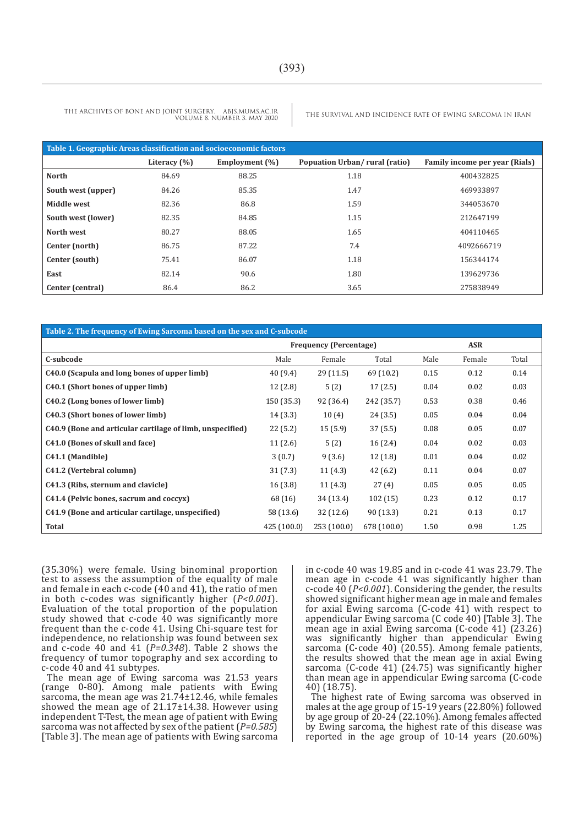| Table 1. Geographic Areas classification and socioeconomic factors |                  |                   |                               |                                |  |  |  |
|--------------------------------------------------------------------|------------------|-------------------|-------------------------------|--------------------------------|--|--|--|
|                                                                    | Literacy $(\% )$ | Employment $(\%)$ | Popuation Urban/rural (ratio) | Family income per year (Rials) |  |  |  |
| <b>North</b>                                                       | 84.69            | 88.25             | 1.18                          | 400432825                      |  |  |  |
| South west (upper)                                                 | 84.26            | 85.35             | 1.47                          | 469933897                      |  |  |  |
| Middle west                                                        | 82.36            | 86.8              | 1.59                          | 344053670                      |  |  |  |
| South west (lower)                                                 | 82.35            | 84.85             | 1.15                          | 212647199                      |  |  |  |
| North west                                                         | 80.27            | 88.05             | 1.65                          | 404110465                      |  |  |  |
| Center (north)                                                     | 86.75            | 87.22             | 7.4                           | 4092666719                     |  |  |  |
| Center (south)                                                     | 75.41            | 86.07             | 1.18                          | 156344174                      |  |  |  |
| East                                                               | 82.14            | 90.6              | 1.80                          | 139629736                      |  |  |  |
| Center (central)                                                   | 86.4             | 86.2              | 3.65                          | 275838949                      |  |  |  |

#### **Table 2. The frequency of Ewing Sarcoma based on the sex and C-subcode**

|                                                           | <b>Frequency (Percentage)</b> |             |             |      | <b>ASR</b> |       |
|-----------------------------------------------------------|-------------------------------|-------------|-------------|------|------------|-------|
| C-subcode                                                 | Male                          | Female      | Total       | Male | Female     | Total |
| C40.0 (Scapula and long bones of upper limb)              | 40 (9.4)                      | 29(11.5)    | 69 (10.2)   | 0.15 | 0.12       | 0.14  |
| C40.1 (Short bones of upper limb)                         | 12(2.8)                       | 5(2)        | 17(2.5)     | 0.04 | 0.02       | 0.03  |
| C40.2 (Long bones of lower limb)                          | 150 (35.3)                    | 92 (36.4)   | 242 (35.7)  | 0.53 | 0.38       | 0.46  |
| C40.3 (Short bones of lower limb)                         | 14(3.3)                       | 10(4)       | 24(3.5)     | 0.05 | 0.04       | 0.04  |
| C40.9 (Bone and articular cartilage of limb, unspecified) | 22(5.2)                       | 15(5.9)     | 37(5.5)     | 0.08 | 0.05       | 0.07  |
| C41.0 (Bones of skull and face)                           | 11(2.6)                       | 5(2)        | 16(2.4)     | 0.04 | 0.02       | 0.03  |
| C41.1 (Mandible)                                          | 3(0.7)                        | 9(3.6)      | 12(1.8)     | 0.01 | 0.04       | 0.02  |
| C41.2 (Vertebral column)                                  | 31(7.3)                       | 11(4.3)     | 42 (6.2)    | 0.11 | 0.04       | 0.07  |
| C41.3 (Ribs, sternum and clavicle)                        | 16(3.8)                       | 11(4.3)     | 27(4)       | 0.05 | 0.05       | 0.05  |
| C41.4 (Pelvic bones, sacrum and coccyx)                   | 68 (16)                       | 34 (13.4)   | 102(15)     | 0.23 | 0.12       | 0.17  |
| C41.9 (Bone and articular cartilage, unspecified)         | 58 (13.6)                     | 32 (12.6)   | 90 (13.3)   | 0.21 | 0.13       | 0.17  |
| <b>Total</b>                                              | 425 (100.0)                   | 253 (100.0) | 678 (100.0) | 1.50 | 0.98       | 1.25  |

(35.30%) were female. Using binominal proportion test to assess the assumption of the equality of male and female in each c-code (40 and 41), the ratio of men in both c-codes was significantly higher (*P<0.001*). Evaluation of the total proportion of the population study showed that c-code 40 was significantly more frequent than the c-code 41. Using Chi-square test for independence, no relationship was found between sex and c-code 40 and 41 (*P=0.348*). Table 2 shows the frequency of tumor topography and sex according to c-code 40 and 41 subtypes.

The mean age of Ewing sarcoma was 21.53 years (range 0-80). Among male patients with Ewing sarcoma, the mean age was 21.74±12.46, while females showed the mean age of 21.17±14.38. However using independent T-Test, the mean age of patient with Ewing sarcoma was not affected by sex of the patient (*P=0.585*) [Table 3]. The mean age of patients with Ewing sarcoma in c-code 40 was 19.85 and in c-code 41 was 23.79. The mean age in c-code 41 was significantly higher than c-code 40 (*P<0.001*). Considering the gender, the results showed significant higher mean age in male and females for axial Ewing sarcoma (C-code 41) with respect to appendicular Ewing sarcoma (C code 40) [Table 3]. The mean age in axial Ewing sarcoma (C-code 41) (23.26) was significantly higher than appendicular Ewing sarcoma (C-code 40) (20.55). Among female patients, the results showed that the mean age in axial Ewing sarcoma (C-code 41) (24.75) was significantly higher than mean age in appendicular Ewing sarcoma (C-code 40) (18.75).

The highest rate of Ewing sarcoma was observed in males at the age group of 15-19 years (22.80%) followed by age group of 20-24 (22.10%). Among females affected by Ewing sarcoma, the highest rate of this disease was reported in the age group of 10-14 years (20.60%)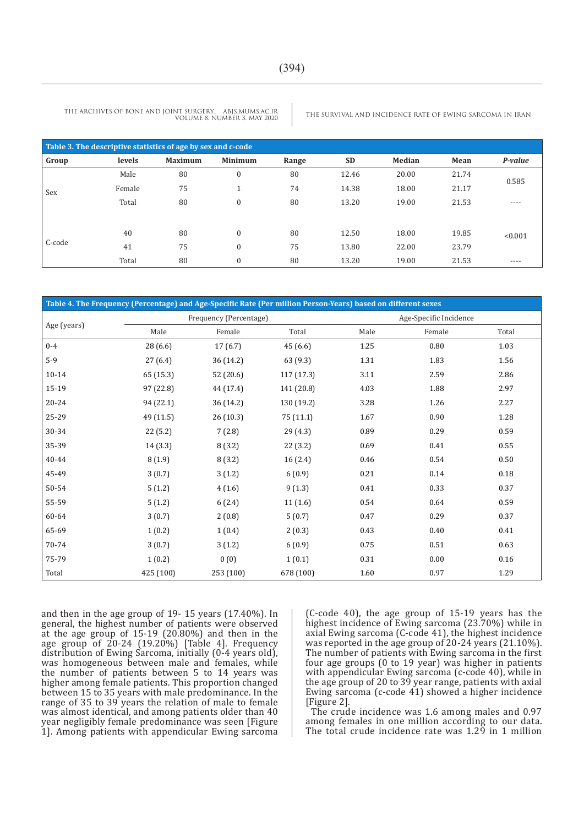| Table 3. The descriptive statistics of age by sex and c-code |        |                |                      |       |           |        |       |           |
|--------------------------------------------------------------|--------|----------------|----------------------|-------|-----------|--------|-------|-----------|
| Group                                                        | levels | <b>Maximum</b> | <b>Minimum</b>       | Range | <b>SD</b> | Median | Mean  | P-value   |
|                                                              | Male   | 80             | $\mathbf{0}$         | 80    | 12.46     | 20.00  | 21.74 |           |
| Sex                                                          | Female | 75             | $\blacktriangleleft$ | 74    | 14.38     | 18.00  | 21.17 | 0.585     |
|                                                              | Total  | 80             | $\mathbf{0}$         | 80    | 13.20     | 19.00  | 21.53 | $- - - -$ |
|                                                              |        |                |                      |       |           |        |       |           |
| C-code                                                       | 40     | 80             | $\mathbf{0}$         | 80    | 12.50     | 18.00  | 19.85 | < 0.001   |
|                                                              | 41     | 75             | $\mathbf{0}$         | 75    | 13.80     | 22.00  | 23.79 |           |
|                                                              | Total  | 80             | $\mathbf{0}$         | 80    | 13.20     | 19.00  | 21.53 | ----      |

| Table 4. The Frequency (Percentage) and Age-Specific Rate (Per million Person-Years) based on different sexes |           |                        |            |      |                        |       |
|---------------------------------------------------------------------------------------------------------------|-----------|------------------------|------------|------|------------------------|-------|
|                                                                                                               |           | Frequency (Percentage) |            |      | Age-Specific Incidence |       |
| Age (years)                                                                                                   | Male      | Female                 | Total      | Male | Female                 | Total |
| $0 - 4$                                                                                                       | 28 (6.6)  | 17(6.7)                | 45 (6.6)   | 1.25 | 0.80                   | 1.03  |
| $5-9$                                                                                                         | 27(6.4)   | 36 (14.2)              | 63(9.3)    | 1.31 | 1.83                   | 1.56  |
| $10 - 14$                                                                                                     | 65 (15.3) | 52(20.6)               | 117(17.3)  | 3.11 | 2.59                   | 2.86  |
| 15-19                                                                                                         | 97 (22.8) | 44 (17.4)              | 141 (20.8) | 4.03 | 1.88                   | 2.97  |
| 20-24                                                                                                         | 94 (22.1) | 36 (14.2)              | 130 (19.2) | 3.28 | 1.26                   | 2.27  |
| 25-29                                                                                                         | 49 (11.5) | 26(10.3)               | 75(11.1)   | 1.67 | 0.90                   | 1.28  |
| 30-34                                                                                                         | 22(5.2)   | 7(2.8)                 | 29 (4.3)   | 0.89 | 0.29                   | 0.59  |
| 35-39                                                                                                         | 14(3.3)   | 8(3.2)                 | 22 (3.2)   | 0.69 | 0.41                   | 0.55  |
| 40-44                                                                                                         | 8(1.9)    | 8(3.2)                 | 16(2.4)    | 0.46 | 0.54                   | 0.50  |
| 45-49                                                                                                         | 3(0.7)    | 3(1.2)                 | 6(0.9)     | 0.21 | 0.14                   | 0.18  |
| 50-54                                                                                                         | 5(1.2)    | 4(1.6)                 | 9(1.3)     | 0.41 | 0.33                   | 0.37  |
| 55-59                                                                                                         | 5(1.2)    | 6(2.4)                 | 11(1.6)    | 0.54 | 0.64                   | 0.59  |
| 60-64                                                                                                         | 3(0.7)    | 2(0.8)                 | 5(0.7)     | 0.47 | 0.29                   | 0.37  |
| 65-69                                                                                                         | 1(0.2)    | 1(0.4)                 | 2(0.3)     | 0.43 | 0.40                   | 0.41  |
| 70-74                                                                                                         | 3(0.7)    | 3(1.2)                 | 6(0.9)     | 0.75 | 0.51                   | 0.63  |
| 75-79                                                                                                         | 1(0.2)    | 0(0)                   | 1(0.1)     | 0.31 | 0.00                   | 0.16  |
| Total                                                                                                         | 425 (100) | 253 (100)              | 678 (100)  | 1.60 | 0.97                   | 1.29  |

and then in the age group of 19- 15 years (17.40%). In general, the highest number of patients were observed at the age group of 15-19 (20.80%) and then in the age group of 20-24 (19.20%) [Table 4]. Frequency distribution of Ewing Sarcoma, initially (0-4 years old), was homogeneous between male and females, while the number of patients between 5 to 14 years was higher among female patients. This proportion changed between 15 to 35 years with male predominance. In the range of 35 to 39 years the relation of male to female was almost identical, and among patients older than 40 year negligibly female predominance was seen [Figure 1]. Among patients with appendicular Ewing sarcoma

(C-code 40), the age group of 15-19 years has the highest incidence of Ewing sarcoma (23.70%) while in axial Ewing sarcoma (C-code 41), the highest incidence was reported in the age group of 20-24 years (21.10%). The number of patients with Ewing sarcoma in the first four age groups (0 to 19 year) was higher in patients with appendicular Ewing sarcoma (c-code 40), while in the age group of 20 to 39 year range, patients with axial Ewing sarcoma (c-code 41) showed a higher incidence [Figure 2].

The crude incidence was 1.6 among males and 0.97 among females in one million according to our data. The total crude incidence rate was 1.29 in 1 million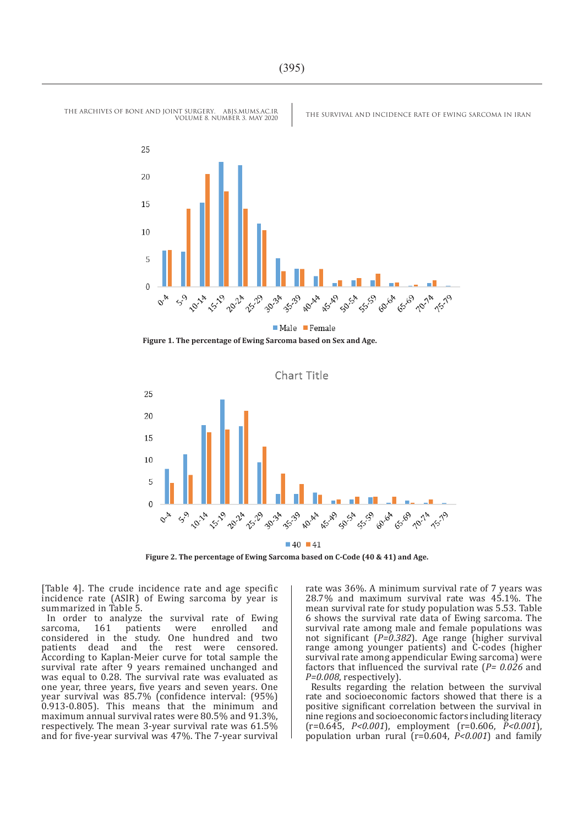

**Figure 1. The percentage of Ewing Sarcoma based on Sex and Age.**



**Figure 2. The percentage of Ewing Sarcoma based on C-Code (40 & 41) and Age.**

[Table 4]. The crude incidence rate and age specific incidence rate (ASIR) of Ewing sarcoma by year is summarized in Table 5.

In order to analyze the survival rate of Ewing<br>sarcoma, 161 patients were enrolled and sarcoma, 161 patients were enrolled and considered in the study. One hundred and two patients dead and the rest were censored. According to Kaplan-Meier curve for total sample the survival rate after 9 years remained unchanged and was equal to 0.28. The survival rate was evaluated as one year, three years, five years and seven years. One year survival was 85.7% (confidence interval: (95%) 0.913-0.805). This means that the minimum and maximum annual survival rates were 80.5% and 91.3%, respectively. The mean 3-year survival rate was 61.5% and for five-year survival was 47%. The 7-year survival

rate was 36%. A minimum survival rate of 7 years was 28.7% and maximum survival rate was 45.1%. The mean survival rate for study population was 5.53. Table 6 shows the survival rate data of Ewing sarcoma. The survival rate among male and female populations was not significant (*P=0.382*). Age range (higher survival range among younger patients) and C-codes (higher survival rate among appendicular Ewing sarcoma) were factors that influenced the survival rate (*P= 0.026* and *P=0.008*, respectively).

Results regarding the relation between the survival rate and socioeconomic factors showed that there is a positive significant correlation between the survival in nine regions and socioeconomic factors including literacy (r=0.645, *P<0.001*), employment (r=0.606, *P<0.001*), population urban rural (r=0.604, *P<0.001*) and family

THE ARCHIVES OF BONE AND JOINT SURGERY. ABJS.MUMS.AC.IR THE SURVIVAL AND INCIDENCE RATE OF EWING SARCOMA IN IRAN

VOLUME 8. NUMBER 3. MAY 2020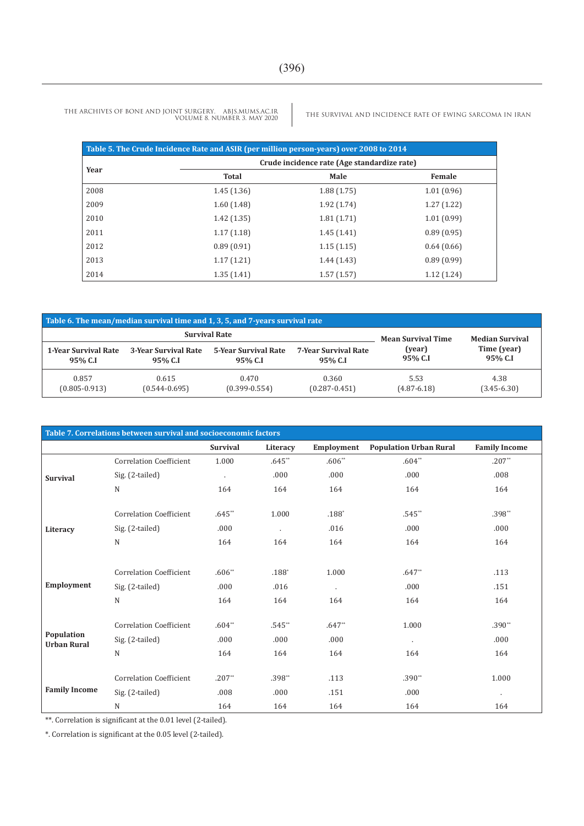THE ARCHIVES OF BONE AND JOINT SURGERY. ABJS.MUMS.AC.IR VOLUME 8. NUMBER 3. MAY 2020

THE SURVIVAL AND INCIDENCE RATE OF EWING SARCOMA IN IRAN

|      | Table 5. The Crude Incidence Rate and ASIR (per million person-years) over 2008 to 2014 |                                             |            |
|------|-----------------------------------------------------------------------------------------|---------------------------------------------|------------|
| Year |                                                                                         | Crude incidence rate (Age standardize rate) |            |
|      | <b>Total</b>                                                                            | Male                                        | Female     |
| 2008 | 1.45(1.36)                                                                              | 1.88(1.75)                                  | 1.01(0.96) |
| 2009 | 1.60(1.48)                                                                              | 1.92(1.74)                                  | 1.27(1.22) |
| 2010 | 1.42(1.35)                                                                              | 1.81(1.71)                                  | 1.01(0.99) |
| 2011 | 1.17(1.18)                                                                              | 1.45(1.41)                                  | 0.89(0.95) |
| 2012 | 0.89(0.91)                                                                              | 1.15(1.15)                                  | 0.64(0.66) |
| 2013 | 1.17(1.21)                                                                              | 1.44(1.43)                                  | 0.89(0.99) |
| 2014 | 1.35(1.41)                                                                              | 1.57(1.57)                                  | 1.12(1.24) |

| Table 6. The mean/median survival time and 1, 3, 5, and 7-years survival rate |                      |                           |                             |                 |                 |  |  |  |
|-------------------------------------------------------------------------------|----------------------|---------------------------|-----------------------------|-----------------|-----------------|--|--|--|
|                                                                               | <b>Survival Rate</b> | <b>Mean Survival Time</b> | <b>Median Survival</b>      |                 |                 |  |  |  |
| <b>1-Year Survival Rate</b>                                                   | 3-Year Survival Rate | 5-Year Survival Rate      | <b>7-Year Survival Rate</b> | (year)          | Time (year)     |  |  |  |
| 95% C.I                                                                       | 95% C.I              | 95% C.I                   | 95% C.I                     | 95% C.I         | 95% C.I         |  |  |  |
| 0.857                                                                         | 0.615                | 0.470                     | 0.360                       | 5.53            | 4.38            |  |  |  |
| $(0.805 - 0.913)$                                                             | $(0.544 - 0.695)$    | $(0.399 - 0.554)$         | $(0.287 - 0.451)$           | $(4.87 - 6.18)$ | $(3.45 - 6.30)$ |  |  |  |

| Table 7. Correlations between survival and socioeconomic factors |                                |                 |                |            |                               |                      |  |  |
|------------------------------------------------------------------|--------------------------------|-----------------|----------------|------------|-------------------------------|----------------------|--|--|
|                                                                  |                                | <b>Survival</b> | Literacy       | Employment | <b>Population Urban Rural</b> | <b>Family Income</b> |  |  |
| <b>Survival</b>                                                  | <b>Correlation Coefficient</b> | 1.000           | $.645**$       | $.606**$   | $.604**$                      | $.207**$             |  |  |
|                                                                  | Sig. (2-tailed)                | $\cdot$         | .000           | .000       | .000                          | .008                 |  |  |
|                                                                  | N                              | 164             | 164            | 164        | 164                           | 164                  |  |  |
|                                                                  | <b>Correlation Coefficient</b> | $.645**$        | 1.000          | $.188*$    | $.545**$                      | $.398**$             |  |  |
| Literacy                                                         | Sig. (2-tailed)                | .000            | $\blacksquare$ | .016       | .000                          | .000                 |  |  |
|                                                                  | N                              | 164             | 164            | 164        | 164                           | 164                  |  |  |
|                                                                  |                                |                 |                |            |                               |                      |  |  |
|                                                                  | <b>Correlation Coefficient</b> | $.606**$        | $.188*$        | 1.000      | $.647**$                      | .113                 |  |  |
| Employment                                                       | Sig. (2-tailed)                | .000            | .016           | $\cdot$    | .000                          | .151                 |  |  |
|                                                                  | N                              | 164             | 164            | 164        | 164                           | 164                  |  |  |
|                                                                  | <b>Correlation Coefficient</b> | $.604**$        | $.545**$       | $.647**$   | 1.000                         | $.390**$             |  |  |
| Population<br><b>Urban Rural</b>                                 | Sig. (2-tailed)                | .000            | .000           | .000       | $\cdot$                       | .000                 |  |  |
|                                                                  | N                              | 164             | 164            | 164        | 164                           | 164                  |  |  |
|                                                                  | <b>Correlation Coefficient</b> | $.207**$        | .398**         | .113       | $.390**$                      | 1.000                |  |  |
| <b>Family Income</b>                                             | Sig. (2-tailed)                | .008            | .000           | .151       | .000                          | $\cdot$              |  |  |
|                                                                  | N                              | 164             | 164            | 164        | 164                           | 164                  |  |  |

\*\*. Correlation is significant at the 0.01 level (2-tailed).

\*. Correlation is significant at the 0.05 level (2-tailed).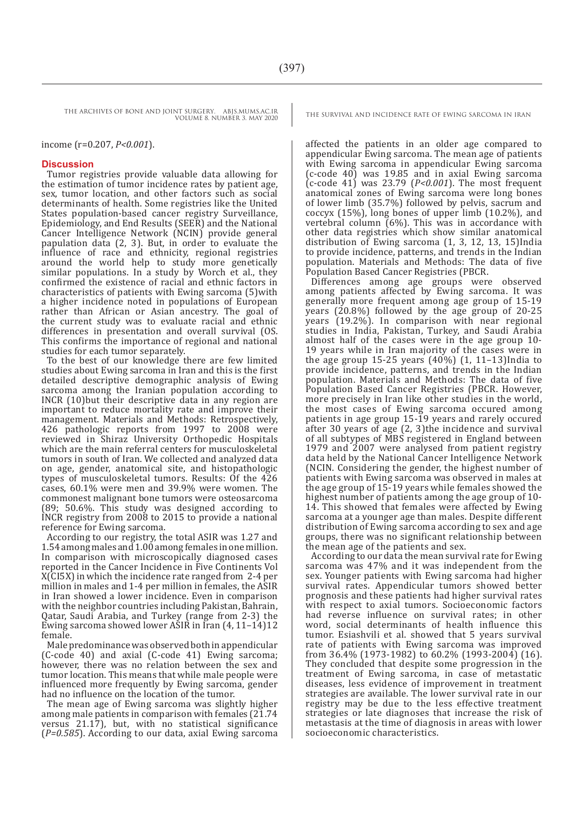income (r=0.207, *P<0.001*).

#### **Discussion**

Tumor registries provide valuable data allowing for the estimation of tumor incidence rates by patient age, sex, tumor location, and other factors such as social determinants of health. Some registries like the United States population-based cancer registry Surveillance, Epidemiology, and End Results (SEER) and the National Cancer Intelligence Network (NCIN) provide general papulation data (2, 3). But, in order to evaluate the influence of race and ethnicity, regional registries around the world help to study more genetically similar populations. In a study by Worch et al., they confirmed the existence of racial and ethnic factors in characteristics of patients with Ewing sarcoma (5)with a higher incidence noted in populations of European rather than African or Asian ancestry. The goal of the current study was to evaluate racial and ethnic differences in presentation and overall survival (OS. This confirms the importance of regional and national studies for each tumor separately.

To the best of our knowledge there are few limited studies about Ewing sarcoma in Iran and this is the first detailed descriptive demographic analysis of Ewing sarcoma among the Iranian population according to INCR (10)but their descriptive data in any region are important to reduce mortality rate and improve their management. Materials and Methods: Retrospectively, 426 pathologic reports from 1997 to 2008 were reviewed in Shiraz University Orthopedic Hospitals which are the main referral centers for musculoskeletal tumors in south of Iran. We collected and analyzed data on age, gender, anatomical site, and histopathologic types of musculoskeletal tumors. Results: Of the 426 cases, 60.1% were men and 39.9% were women. The commonest malignant bone tumors were osteosarcoma (89; 50.6%. This study was designed according to INCR registry from 2008 to 2015 to provide a national reference for Ewing sarcoma.

According to our registry, the total ASIR was 1.27 and 1.54 among males and 1.00 among females in one million. In comparison with microscopically diagnosed cases reported in the Cancer Incidence in Five Continents Vol X(CI5X) in which the incidence rate ranged from 2-4 per million in males and 1-4 per million in females, the ASIR in Iran showed a lower incidence. Even in comparison with the neighbor countries including Pakistan, Bahrain, Qatar, Saudi Arabia, and Turkey (range from 2-3) the Ewing sarcoma showed lower ASIR in Iran (4, 11–14)12 female.

Male predominance was observed both in appendicular (C-code 40) and axial (C-code 41) Ewing sarcoma; however, there was no relation between the sex and tumor location. This means that while male people were influenced more frequently by Ewing sarcoma, gender had no influence on the location of the tumor.

The mean age of Ewing sarcoma was slightly higher among male patients in comparison with females (21.74 versus  $21.17$ ), but, with no statistical significance (*P=0.585*). According to our data, axial Ewing sarcoma

affected the patients in an older age compared to appendicular Ewing sarcoma. The mean age of patients with Ewing sarcoma in appendicular Ewing sarcoma (c-code 40) was 19.85 and in axial Ewing sarcoma (c-code 41) was 23.79 (*P<0.001*). The most frequent anatomical zones of Ewing sarcoma were long bones of lower limb (35.7%) followed by pelvis, sacrum and coccyx (15%), long bones of upper limb (10.2%), and vertebral column (6%). This was in accordance with other data registries which show similar anatomical distribution of Ewing sarcoma (1, 3, 12, 13, 15)India to provide incidence, patterns, and trends in the Indian population. Materials and Methods: The data of five Population Based Cancer Registries (PBCR.

Differences among age groups were observed among patients affected by Ewing sarcoma. It was generally more frequent among age group of 15-19 years (20.8%) followed by the age group of 20-25 years (19.2%). In comparison with near regional studies in India, Pakistan, Turkey, and Saudi Arabia almost half of the cases were in the age group 10- 19 years while in Iran majority of the cases were in the age group 15-25 years  $(40\%)$  (1, 11–13)India to provide incidence, patterns, and trends in the Indian population. Materials and Methods: The data of five Population Based Cancer Registries (PBCR. However, more precisely in Iran like other studies in the world, the most cases of Ewing sarcoma occured among patients in age group 15-19 years and rarely occured after 30 years of age (2, 3)the incidence and survival of all subtypes of MBS registered in England between 1979 and 2007 were analysed from patient registry data held by the National Cancer Intelligence Network (NCIN. Considering the gender, the highest number of patients with Ewing sarcoma was observed in males at the age group of 15-19 years while females showed the highest number of patients among the age group of 10- 14. This showed that females were affected by Ewing sarcoma at a younger age than males. Despite different distribution of Ewing sarcoma according to sex and age groups, there was no significant relationship between the mean age of the patients and sex.

According to our data the mean survival rate for Ewing sarcoma was 47% and it was independent from the sex. Younger patients with Ewing sarcoma had higher survival rates. Appendicular tumors showed better prognosis and these patients had higher survival rates with respect to axial tumors. Socioeconomic factors had reverse influence on survival rates; in other word, social determinants of health influence this tumor. Esiashvili et al. showed that 5 years survival rate of patients with Ewing sarcoma was improved from 36.4% (1973-1982) to 60.2% (1993-2004) (16). They concluded that despite some progression in the treatment of Ewing sarcoma, in case of metastatic diseases, less evidence of improvement in treatment strategies are available. The lower survival rate in our registry may be due to the less effective treatment strategies or late diagnoses that increase the risk of metastasis at the time of diagnosis in areas with lower socioeconomic characteristics.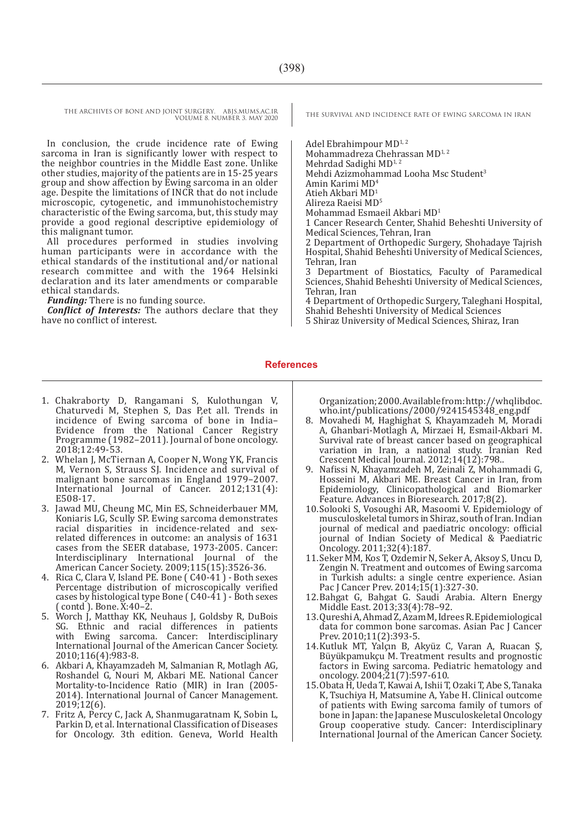In conclusion, the crude incidence rate of Ewing sarcoma in Iran is significantly lower with respect to the neighbor countries in the Middle East zone. Unlike other studies, majority of the patients are in 15-25 years group and show affection by Ewing sarcoma in an older age. Despite the limitations of INCR that do not include microscopic, cytogenetic, and immunohistochemistry characteristic of the Ewing sarcoma, but, this study may provide a good regional descriptive epidemiology of this malignant tumor.

All procedures performed in studies involving human participants were in accordance with the ethical standards of the institutional and/or national research committee and with the 1964 Helsinki declaration and its later amendments or comparable ethical standards.

*Funding:* There is no funding source.

*Conflict of Interests:* The authors declare that they have no conflict of interest.

Adel Ebrahimpour MD<sup>1,2</sup> Mohammadreza Chehrassan MD<sup>1,2</sup> Mehrdad Sadighi MD<sup>1,2</sup> Mehdi Azizmohammad Looha Msc Student<sup>3</sup> Amin Karimi MD<sup>4</sup> Atieh Akbari MD<sup>1</sup> Alireza Raeisi MD5 Mohammad Esmaeil Akbari MD<sup>1</sup> 1 Cancer Research Center, Shahid Beheshti University of Medical Sciences, Tehran, Iran 2 Department of Orthopedic Surgery, Shohadaye Tajrish Hospital, Shahid Beheshti University of Medical Sciences, Tehran, Iran 3 Department of Biostatics, Faculty of Paramedical Sciences, Shahid Beheshti University of Medical Sciences,

Tehran, Iran 4 Department of Orthopedic Surgery, Taleghani Hospital, Shahid Beheshti University of Medical Sciences

5 Shiraz University of Medical Sciences, Shiraz, Iran

#### **References**

- 1. Chakraborty D, Rangamani S, Kulothungan V, Chaturvedi M, Stephen S, Das P,et all. Trends in incidence of Ewing sarcoma of bone in India– Evidence from the National Cancer Registry Programme (1982–2011). Journal of bone oncology. 2018;12:49-53.
- 2. Whelan J, McTiernan A, Cooper N, Wong YK, Francis M, Vernon S, Strauss SJ. Incidence and survival of malignant bone sarcomas in England 1979–2007. International Journal of Cancer. 2012;131(4): E508-17.
- 3. Jawad MU, Cheung MC, Min ES, Schneiderbauer MM, Koniaris LG, Scully SP. Ewing sarcoma demonstrates<br>racial disparities in incidence-related and sexrelated differences in outcome: an analysis of 1631 cases from the SEER database, 1973-2005. Cancer: Interdisciplinary International Journal of the American Cancer Society. 2009;115(15):3526-36.
- 4. Rica C, Clara V, Island PE. Bone ( C40-41 ) Both sexes Percentage distribution of microscopically verified cases by histological type Bone ( C40-41 ) - Both sexes ( contd ). Bone. X:40–2.
- 5. Worch J, Matthay KK, Neuhaus J, Goldsby R, DuBois SG. Ethnic and racial differences in patients with Ewing sarcoma. Cancer: Interdisciplinary International Journal of the American Cancer Society. 2010;116(4):983-8.
- 6. Akbari A, Khayamzadeh M, Salmanian R, Motlagh AG, Roshandel G, Nouri M, Akbari ME. National Cancer Mortality-to-Incidence Ratio (MIR) in Iran (2005- 2014). International Journal of Cancer Management. 2019;12(6).
- 7. Fritz A, Percy C, Jack A, Shanmugaratnam K, Sobin L, Parkin D, et al. International Classification of Diseases for Oncology. 3th edition. Geneva, World Health

Organization; 2000. Available from: http://whqlibdoc. who.int/publications/2000/9241545348\_eng.pdf

- 8. Movahedi M, Haghighat S, Khayamzadeh M, Moradi A, Ghanbari-Motlagh A, Mirzaei H, Esmail-Akbari M. Survival rate of breast cancer based on geographical variation in Iran, a national study. Iranian Red Crescent Medical Journal. 2012;14(12):798..
- 9. Nafissi N, Khayamzadeh M, Zeinali Z, Mohammadi G, Hosseini M, Akbari ME. Breast Cancer in Iran, from Epidemiology, Clinicopathological and Biomarker Feature. Advances in Bioresearch. 2017;8(2).
- 10.Solooki S, Vosoughi AR, Masoomi V. Epidemiology of musculoskeletal tumors in Shiraz, south of Iran. Indian journal of medical and paediatric oncology: official journal of Indian Society of Medical & Paediatric Oncology. 2011;32(4):187.
- 11.Seker MM, Kos T, Ozdemir N, Seker A, Aksoy S, Uncu D, Zengin N. Treatment and outcomes of Ewing sarcoma in Turkish adults: a single centre experience. Asian Pac J Cancer Prev. 2014;15(1):327-30.
- 12.Bahgat G, Bahgat G. Saudi Arabia. Altern Energy Middle East. 2013;33(4):78–92.
- 13.Qureshi A, Ahmad Z, Azam M, Idrees R. Epidemiological data for common bone sarcomas. Asian Pac J Cancer Prev. 2010;11(2):393-5.
- 14.Kutluk MT, Yalçın B, Akyüz C, Varan A, Ruacan Ş, Büyükpamukçu M. Treatment results and prognostic factors in Ewing sarcoma. Pediatric hematology and oncology. 2004;21(7):597-610.
- 15.Obata H, Ueda T, Kawai A, Ishii T, Ozaki T, Abe S, Tanaka K, Tsuchiya H, Matsumine A, Yabe H. Clinical outcome of patients with Ewing sarcoma family of tumors of bone in Japan: the Japanese Musculoskeletal Oncology Group cooperative study. Cancer: Interdisciplinary International Journal of the American Cancer Society.